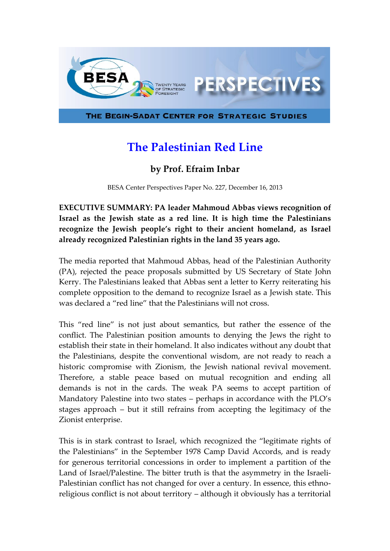

## **The Palestinian Red Line**

## **by Prof. Efraim Inbar**

BESA Center Perspectives Paper No. 227, December 16, 2013

**EXECUTIVE SUMMARY: PA leader Mahmoud Abbas views recognition of Israel as the Jewish state as a red line. It is high time the Palestinians recognize the Jewish people's right to their ancient homeland, as Israel already recognized Palestinian rights in the land 35 years ago.**

The media reported that Mahmoud Abbas, head of the Palestinian Authority (PA), rejected the peace proposals submitted by US Secretary of State John Kerry. The Palestinians leaked that Abbas sent a letter to Kerry reiterating his complete opposition to the demand to recognize Israel as a Jewish state. This was declared a "red line" that the Palestinians will not cross.

This "red line" is not just about semantics, but rather the essence of the conflict. The Palestinian position amounts to denying the Jews the right to establish their state in their homeland. It also indicates without any doubt that the Palestinians, despite the conventional wisdom, are not ready to reach a historic compromise with Zionism, the Jewish national revival movement. Therefore, a stable peace based on mutual recognition and ending all demands is not in the cards. The weak PA seems to accept partition of Mandatory Palestine into two states – perhaps in accordance with the PLO's stages approach – but it still refrains from accepting the legitimacy of the Zionist enterprise.

This is in stark contrast to Israel, which recognized the "legitimate rights of the Palestinians" in the September 1978 Camp David Accords, and is ready for generous territorial concessions in order to implement a partition of the Land of Israel/Palestine. The bitter truth is that the asymmetry in the Israeli-Palestinian conflict has not changed for over a century. In essence, this ethnoreligious conflict is not about territory – although it obviously has a territorial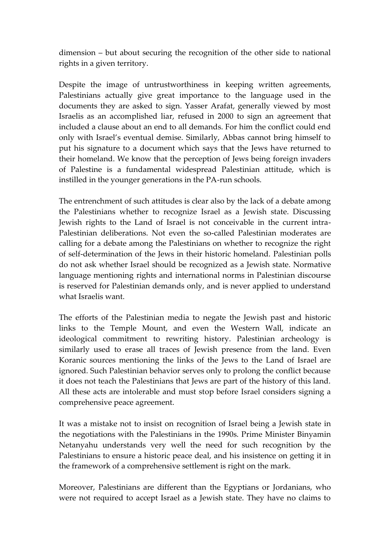dimension – but about securing the recognition of the other side to national rights in a given territory.

Despite the image of untrustworthiness in keeping written agreements, Palestinians actually give great importance to the language used in the documents they are asked to sign. Yasser Arafat, generally viewed by most Israelis as an accomplished liar, refused in 2000 to sign an agreement that included a clause about an end to all demands. For him the conflict could end only with Israel's eventual demise. Similarly, Abbas cannot bring himself to put his signature to a document which says that the Jews have returned to their homeland. We know that the perception of Jews being foreign invaders of Palestine is a fundamental widespread Palestinian attitude, which is instilled in the younger generations in the PA-run schools.

The entrenchment of such attitudes is clear also by the lack of a debate among the Palestinians whether to recognize Israel as a Jewish state. Discussing Jewish rights to the Land of Israel is not conceivable in the current intra-Palestinian deliberations. Not even the so-called Palestinian moderates are calling for a debate among the Palestinians on whether to recognize the right of self-determination of the Jews in their historic homeland. Palestinian polls do not ask whether Israel should be recognized as a Jewish state. Normative language mentioning rights and international norms in Palestinian discourse is reserved for Palestinian demands only, and is never applied to understand what Israelis want.

The efforts of the Palestinian media to negate the Jewish past and historic links to the Temple Mount, and even the Western Wall, indicate an ideological commitment to rewriting history. Palestinian archeology is similarly used to erase all traces of Jewish presence from the land. Even Koranic sources mentioning the links of the Jews to the Land of Israel are ignored. Such Palestinian behavior serves only to prolong the conflict because it does not teach the Palestinians that Jews are part of the history of this land. All these acts are intolerable and must stop before Israel considers signing a comprehensive peace agreement.

It was a mistake not to insist on recognition of Israel being a Jewish state in the negotiations with the Palestinians in the 1990s. Prime Minister Binyamin Netanyahu understands very well the need for such recognition by the Palestinians to ensure a historic peace deal, and his insistence on getting it in the framework of a comprehensive settlement is right on the mark.

Moreover, Palestinians are different than the Egyptians or Jordanians, who were not required to accept Israel as a Jewish state. They have no claims to